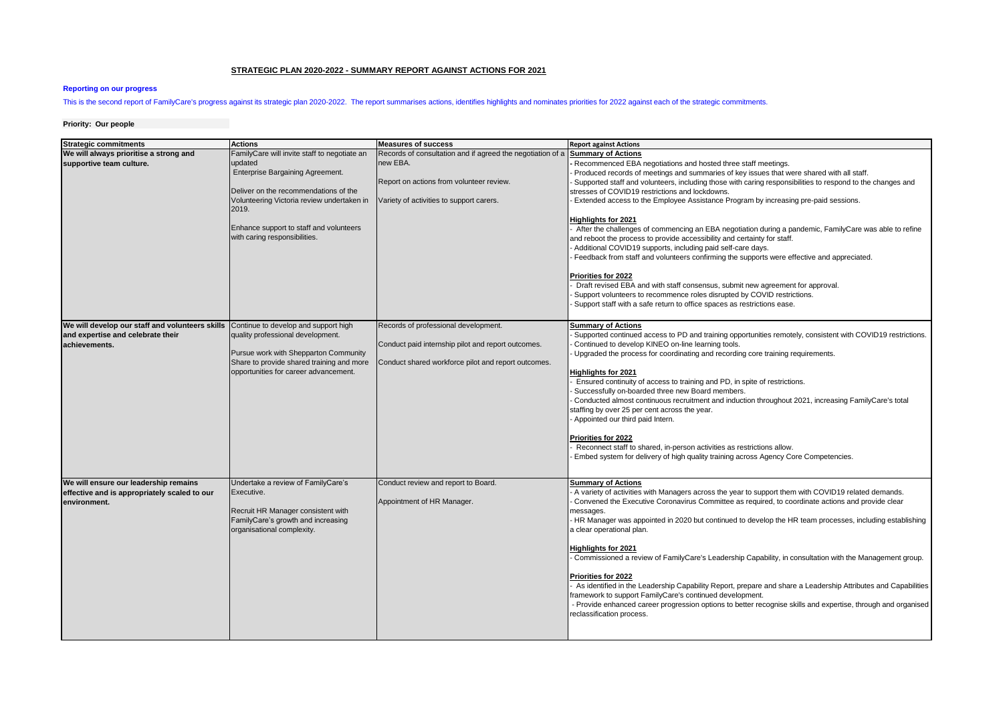## **STRATEGIC PLAN 2020-2022 - SUMMARY REPORT AGAINST ACTIONS FOR 2021**

## **Reporting on our progress**

# This is the second report of FamilyCare's progress against its strategic plan 2020-2022. The report summarises actions, identifies highlights and nominates priorities for 2022 against each of the strategic commitments.

### **Priority: Our people**

| <b>Strategic commitments</b>                                                                          | <b>Actions</b>                                                                                                                                                                                                                                                          | <b>Measures of success</b>                                                                                                                                     | <b>Report against Actions</b>                                                                                                                                                                                                                                                                                                                                                                                                                                                                                                                                                                                                                                                                                                                                                                                                                                                                                                                                                                                                                                                                   |
|-------------------------------------------------------------------------------------------------------|-------------------------------------------------------------------------------------------------------------------------------------------------------------------------------------------------------------------------------------------------------------------------|----------------------------------------------------------------------------------------------------------------------------------------------------------------|-------------------------------------------------------------------------------------------------------------------------------------------------------------------------------------------------------------------------------------------------------------------------------------------------------------------------------------------------------------------------------------------------------------------------------------------------------------------------------------------------------------------------------------------------------------------------------------------------------------------------------------------------------------------------------------------------------------------------------------------------------------------------------------------------------------------------------------------------------------------------------------------------------------------------------------------------------------------------------------------------------------------------------------------------------------------------------------------------|
| We will always prioritise a strong and<br>supportive team culture.                                    | FamilyCare will invite staff to negotiate an<br>updated<br>Enterprise Bargaining Agreement.<br>Deliver on the recommendations of the<br>Volunteering Victoria review undertaken in<br>2019.<br>Enhance support to staff and volunteers<br>with caring responsibilities. | Records of consultation and if agreed the negotiation of a<br>new EBA.<br>Report on actions from volunteer review.<br>Variety of activities to support carers. | <b>Summary of Actions</b><br>Recommenced EBA negotiations and hosted three staff meetings.<br>Produced records of meetings and summaries of key issues that were shared with all staff.<br>Supported staff and volunteers, including those with caring responsibilities to respond to the changes and<br>stresses of COVID19 restrictions and lockdowns.<br>Extended access to the Employee Assistance Program by increasing pre-paid sessions.<br><b>Highlights for 2021</b><br>After the challenges of commencing an EBA negotiation during a pandemic, FamilyCare was able to refine<br>and reboot the process to provide accessibility and certainty for staff.<br>Additional COVID19 supports, including paid self-care days.<br>Feedback from staff and volunteers confirming the supports were effective and appreciated.<br>Priorities for 2022<br>Draft revised EBA and with staff consensus, submit new agreement for approval.<br>Support volunteers to recommence roles disrupted by COVID restrictions.<br>Support staff with a safe return to office spaces as restrictions ease. |
| We will develop our staff and volunteers skills<br>and expertise and celebrate their<br>achievements. | Continue to develop and support high<br>quality professional development.<br>Pursue work with Shepparton Community<br>Share to provide shared training and more<br>opportunities for career advancement.                                                                | Records of professional development.<br>Conduct paid internship pilot and report outcomes.<br>Conduct shared workforce pilot and report outcomes.              | <b>Summary of Actions</b><br>Supported continued access to PD and training opportunities remotely, consistent with COVID19 restrictions.<br>Continued to develop KINEO on-line learning tools.<br>Upgraded the process for coordinating and recording core training requirements.<br><b>Highlights for 2021</b><br>Ensured continuity of access to training and PD, in spite of restrictions.<br>Successfully on-boarded three new Board members.<br>Conducted almost continuous recruitment and induction throughout 2021, increasing FamilyCare's total<br>staffing by over 25 per cent across the year.<br>Appointed our third paid Intern.<br>Priorities for 2022<br>Reconnect staff to shared, in-person activities as restrictions allow.<br>Embed system for delivery of high quality training across Agency Core Competencies.                                                                                                                                                                                                                                                          |
| We will ensure our leadership remains<br>effective and is appropriately scaled to our<br>environment. | Undertake a review of FamilyCare's<br>Executive.<br>Recruit HR Manager consistent with<br>FamilyCare's growth and increasing<br>organisational complexity.                                                                                                              | Conduct review and report to Board.<br>Appointment of HR Manager.                                                                                              | <b>Summary of Actions</b><br>A variety of activities with Managers across the year to support them with COVID19 related demands.<br>Convened the Executive Coronavirus Committee as required, to coordinate actions and provide clear<br>messages.<br>HR Manager was appointed in 2020 but continued to develop the HR team processes, including establishing<br>a clear operational plan.<br><b>Highlights for 2021</b><br>Commissioned a review of FamilyCare's Leadership Capability, in consultation with the Management group.<br>Priorities for 2022<br>As identified in the Leadership Capability Report, prepare and share a Leadership Attributes and Capabilities<br>framework to support FamilyCare's continued development.<br>- Provide enhanced career progression options to better recognise skills and expertise, through and organised<br>reclassification process.                                                                                                                                                                                                           |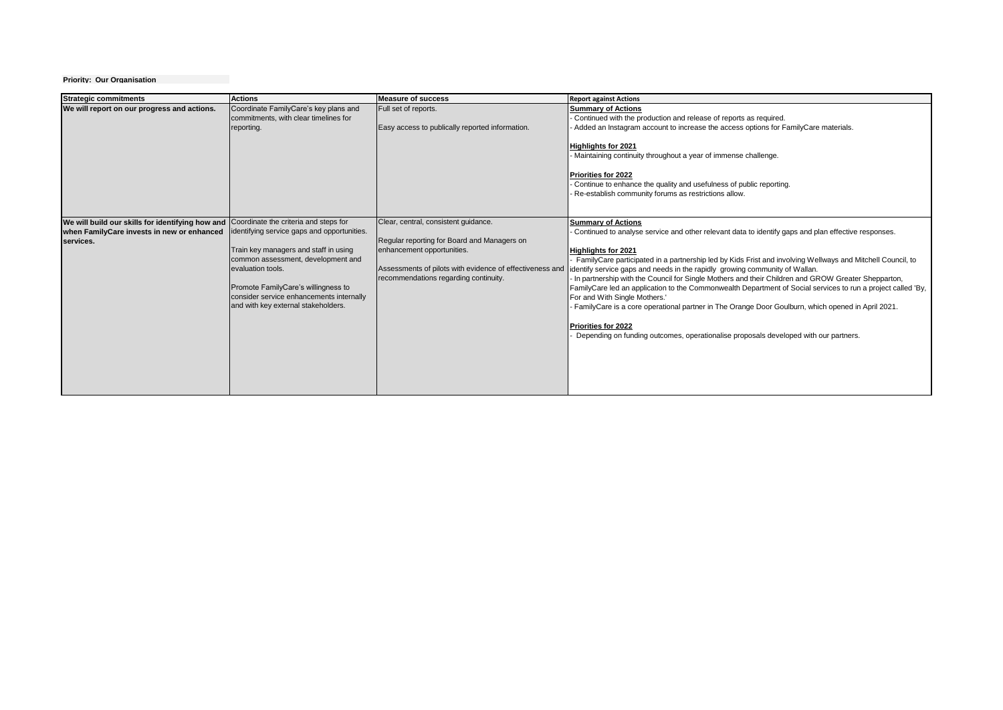## **Priority: Our Organisation**

| <b>Strategic commitments</b>                                                                                                                      | <b>Actions</b>                                                                                                                                                                                                                                                            | <b>Measure of success</b>                                                                                                                                                                                              | <b>Report against Actions</b>                                                                                                                                                                                                                                                                                                                                                                                                                                                                                                                                                                                                                                                                                                                                                                                                          |
|---------------------------------------------------------------------------------------------------------------------------------------------------|---------------------------------------------------------------------------------------------------------------------------------------------------------------------------------------------------------------------------------------------------------------------------|------------------------------------------------------------------------------------------------------------------------------------------------------------------------------------------------------------------------|----------------------------------------------------------------------------------------------------------------------------------------------------------------------------------------------------------------------------------------------------------------------------------------------------------------------------------------------------------------------------------------------------------------------------------------------------------------------------------------------------------------------------------------------------------------------------------------------------------------------------------------------------------------------------------------------------------------------------------------------------------------------------------------------------------------------------------------|
| We will report on our progress and actions.                                                                                                       | Coordinate FamilyCare's key plans and<br>commitments, with clear timelines for<br>reporting.                                                                                                                                                                              | Full set of reports.<br>Easy access to publically reported information.                                                                                                                                                | <b>Summary of Actions</b><br>Continued with the production and release of reports as required.<br>Added an Instagram account to increase the access options for FamilyCare materials.<br><b>Highlights for 2021</b><br>Maintaining continuity throughout a year of immense challenge.<br>Priorities for 2022<br>Continue to enhance the quality and usefulness of public reporting.<br>Re-establish community forums as restrictions allow.                                                                                                                                                                                                                                                                                                                                                                                            |
| We will build our skills for identifying how and Coordinate the criteria and steps for<br>when FamilyCare invests in new or enhanced<br>services. | identifying service gaps and opportunities.<br>Train key managers and staff in using<br>common assessment, development and<br>evaluation tools.<br>Promote FamilyCare's willingness to<br>consider service enhancements internally<br>and with key external stakeholders. | Clear, central, consistent guidance.<br>Regular reporting for Board and Managers on<br>enhancement opportunities.<br>Assessments of pilots with evidence of effectiveness and<br>recommendations regarding continuity. | <b>Summary of Actions</b><br>Continued to analyse service and other relevant data to identify gaps and plan effective responses.<br><b>Highlights for 2021</b><br>FamilyCare participated in a partnership led by Kids Frist and involving Wellways and Mitchell Council, to<br>identify service gaps and needs in the rapidly growing community of Wallan.<br>In partnership with the Council for Single Mothers and their Children and GROW Greater Shepparton,<br>FamilyCare led an application to the Commonwealth Department of Social services to run a project called 'By,<br>For and With Single Mothers.'<br>FamilyCare is a core operational partner in The Orange Door Goulburn, which opened in April 2021.<br>Priorities for 2022<br>Depending on funding outcomes, operationalise proposals developed with our partners. |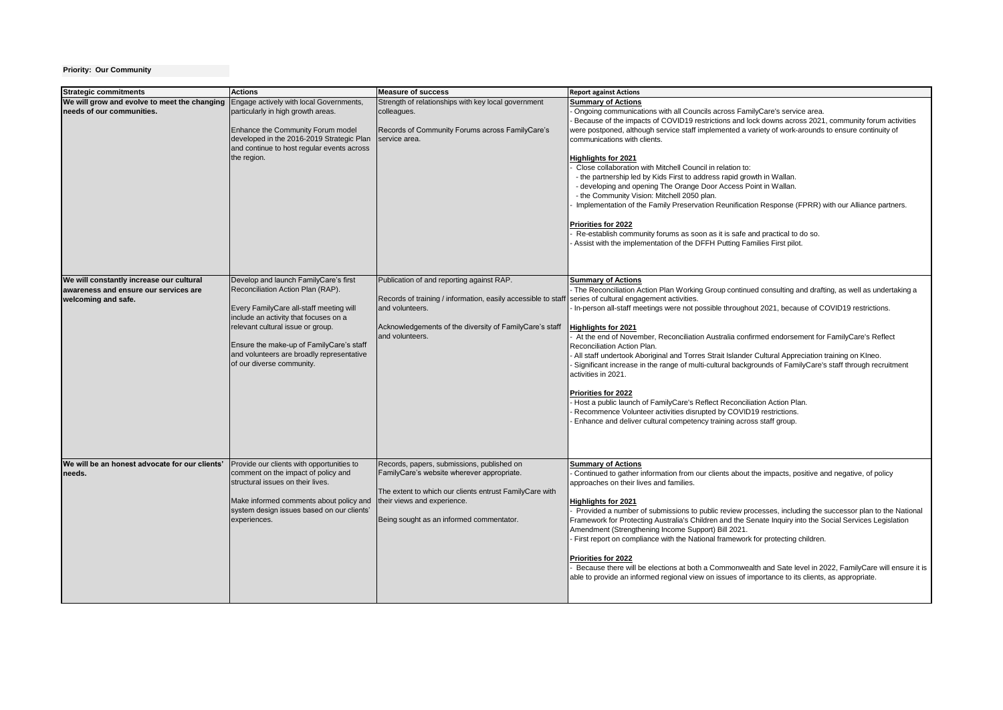## **Priority: Our Community**

|                                                                                                           | <b>Actions</b>                                                                                                                                                                                                                                                                                                            | <b>Measure of success</b>                                                                                                                                                                                                      |                                                                                                                                                                                                                                                                                                                                                                                                                                                                                                                                                                                                                                                                                                                                                                                                                                                                                                                                                                            |
|-----------------------------------------------------------------------------------------------------------|---------------------------------------------------------------------------------------------------------------------------------------------------------------------------------------------------------------------------------------------------------------------------------------------------------------------------|--------------------------------------------------------------------------------------------------------------------------------------------------------------------------------------------------------------------------------|----------------------------------------------------------------------------------------------------------------------------------------------------------------------------------------------------------------------------------------------------------------------------------------------------------------------------------------------------------------------------------------------------------------------------------------------------------------------------------------------------------------------------------------------------------------------------------------------------------------------------------------------------------------------------------------------------------------------------------------------------------------------------------------------------------------------------------------------------------------------------------------------------------------------------------------------------------------------------|
| <b>Strategic commitments</b><br>We will grow and evolve to meet the changing<br>needs of our communities. | Engage actively with local Governments,<br>particularly in high growth areas.<br>Enhance the Community Forum model<br>developed in the 2016-2019 Strategic Plan<br>and continue to host regular events across<br>the region.                                                                                              | Strength of relationships with key local government<br>colleagues.<br>Records of Community Forums across FamilyCare's<br>service area.                                                                                         | <b>Report against Actions</b><br><b>Summary of Actions</b><br>Ongoing communications with all Councils across FamilyCare's service area.<br>Because of the impacts of COVID19 restrictions and lock downs across 2021, community forum activities<br>were postponed, although service staff implemented a variety of work-arounds to ensure continuity of<br>communications with clients.<br><b>Highlights for 2021</b><br>Close collaboration with Mitchell Council in relation to:<br>- the partnership led by Kids First to address rapid growth in Wallan.<br>- developing and opening The Orange Door Access Point in Wallan.<br>- the Community Vision: Mitchell 2050 plan.<br>Implementation of the Family Preservation Reunification Response (FPRR) with our Alliance partners.<br>Priorities for 2022<br>Re-establish community forums as soon as it is safe and practical to do so.<br>Assist with the implementation of the DFFH Putting Families First pilot. |
| We will constantly increase our cultural<br>awareness and ensure our services are<br>welcoming and safe.  | Develop and launch FamilyCare's first<br>Reconciliation Action Plan (RAP).<br>Every FamilyCare all-staff meeting will<br>include an activity that focuses on a<br>relevant cultural issue or group.<br>Ensure the make-up of FamilyCare's staff<br>and volunteers are broadly representative<br>of our diverse community. | Publication of and reporting against RAP.<br>Records of training / information, easily accessible to staff<br>and volunteers.<br>Acknowledgements of the diversity of FamilyCare's staff<br>and volunteers.                    | <b>Summary of Actions</b><br>The Reconciliation Action Plan Working Group continued consulting and drafting, as well as undertaking a<br>series of cultural engagement activities.<br>In-person all-staff meetings were not possible throughout 2021, because of COVID19 restrictions.<br><b>Highlights for 2021</b><br>At the end of November, Reconciliation Australia confirmed endorsement for FamilyCare's Reflect<br>Reconciliation Action Plan.<br>All staff undertook Aboriginal and Torres Strait Islander Cultural Appreciation training on Klneo.<br>Significant increase in the range of multi-cultural backgrounds of FamilyCare's staff through recruitment<br>activities in 2021.<br>Priorities for 2022<br>Host a public launch of FamilyCare's Reflect Reconciliation Action Plan.<br>Recommence Volunteer activities disrupted by COVID19 restrictions.<br>Enhance and deliver cultural competency training across staff group.                          |
| We will be an honest advocate for our clients'<br>needs.                                                  | Provide our clients with opportunities to<br>comment on the impact of policy and<br>structural issues on their lives.<br>Make informed comments about policy and<br>system design issues based on our clients'<br>experiences.                                                                                            | Records, papers, submissions, published on<br>FamilyCare's website wherever appropriate.<br>The extent to which our clients entrust FamilyCare with<br>their views and experience.<br>Being sought as an informed commentator. | <b>Summary of Actions</b><br>Continued to gather information from our clients about the impacts, positive and negative, of policy<br>approaches on their lives and families.<br><b>Highlights for 2021</b><br>Provided a number of submissions to public review processes, including the successor plan to the National<br>Framework for Protecting Australia's Children and the Senate Inquiry into the Social Services Legislation<br>Amendment (Strengthening Income Support) Bill 2021.<br>First report on compliance with the National framework for protecting children.<br>Priorities for 2022<br>Because there will be elections at both a Commonwealth and Sate level in 2022, FamilyCare will ensure it is<br>able to provide an informed regional view on issues of importance to its clients, as appropriate.                                                                                                                                                  |